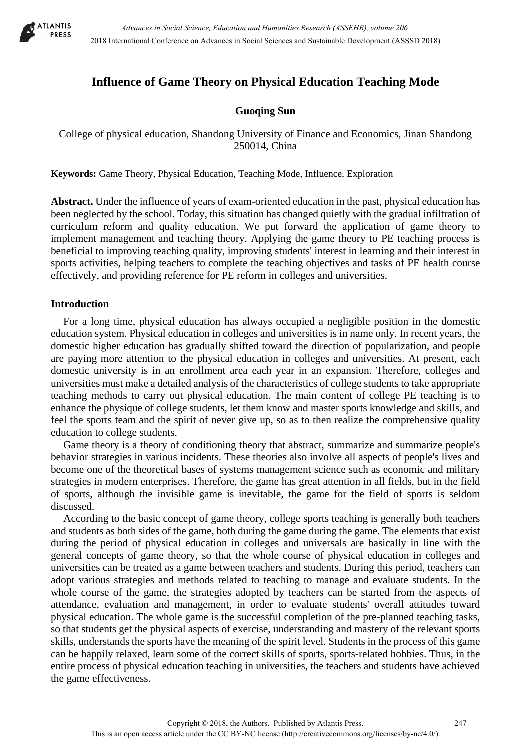

# **Influence of Game Theory on Physical Education Teaching Mode**

## **Guoqing Sun**

College of physical education, Shandong University of Finance and Economics, Jinan Shandong 250014, China

**Keywords:** Game Theory, Physical Education, Teaching Mode, Influence, Exploration

**Abstract.** Under the influence of years of exam-oriented education in the past, physical education has been neglected by the school. Today, this situation has changed quietly with the gradual infiltration of curriculum reform and quality education. We put forward the application of game theory to implement management and teaching theory. Applying the game theory to PE teaching process is beneficial to improving teaching quality, improving students' interest in learning and their interest in sports activities, helping teachers to complete the teaching objectives and tasks of PE health course effectively, and providing reference for PE reform in colleges and universities.

### **Introduction**

For a long time, physical education has always occupied a negligible position in the domestic education system. Physical education in colleges and universities is in name only. In recent years, the domestic higher education has gradually shifted toward the direction of popularization, and people are paying more attention to the physical education in colleges and universities. At present, each domestic university is in an enrollment area each year in an expansion. Therefore, colleges and universities must make a detailed analysis of the characteristics of college students to take appropriate teaching methods to carry out physical education. The main content of college PE teaching is to enhance the physique of college students, let them know and master sports knowledge and skills, and feel the sports team and the spirit of never give up, so as to then realize the comprehensive quality education to college students.

Game theory is a theory of conditioning theory that abstract, summarize and summarize people's behavior strategies in various incidents. These theories also involve all aspects of people's lives and become one of the theoretical bases of systems management science such as economic and military strategies in modern enterprises. Therefore, the game has great attention in all fields, but in the field of sports, although the invisible game is inevitable, the game for the field of sports is seldom discussed.

According to the basic concept of game theory, college sports teaching is generally both teachers and students as both sides of the game, both during the game during the game. The elements that exist during the period of physical education in colleges and universals are basically in line with the general concepts of game theory, so that the whole course of physical education in colleges and universities can be treated as a game between teachers and students. During this period, teachers can adopt various strategies and methods related to teaching to manage and evaluate students. In the whole course of the game, the strategies adopted by teachers can be started from the aspects of attendance, evaluation and management, in order to evaluate students' overall attitudes toward physical education. The whole game is the successful completion of the pre-planned teaching tasks, so that students get the physical aspects of exercise, understanding and mastery of the relevant sports skills, understands the sports have the meaning of the spirit level. Students in the process of this game can be happily relaxed, learn some of the correct skills of sports, sports-related hobbies. Thus, in the entire process of physical education teaching in universities, the teachers and students have achieved the game effectiveness.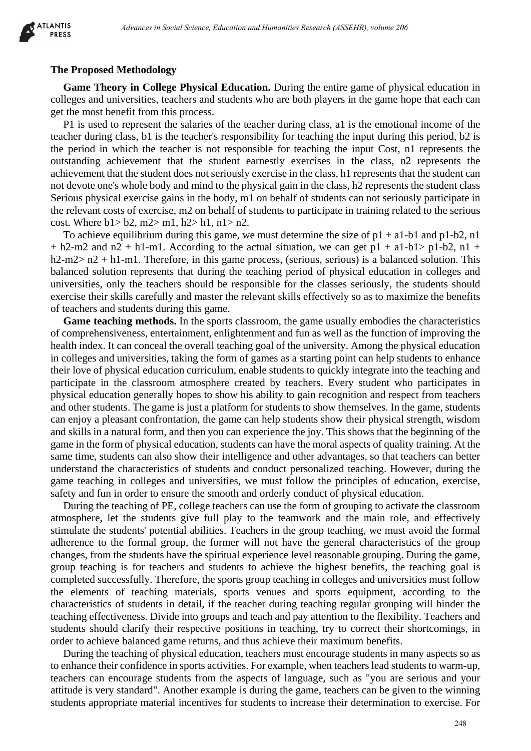

#### **The Proposed Methodology**

**Game Theory in College Physical Education.** During the entire game of physical education in colleges and universities, teachers and students who are both players in the game hope that each can get the most benefit from this process.

P1 is used to represent the salaries of the teacher during class, a1 is the emotional income of the teacher during class, b1 is the teacher's responsibility for teaching the input during this period, b2 is the period in which the teacher is not responsible for teaching the input Cost, n1 represents the outstanding achievement that the student earnestly exercises in the class, n2 represents the achievement that the student does not seriously exercise in the class, h1 represents that the student can not devote one's whole body and mind to the physical gain in the class, h2 represents the student class Serious physical exercise gains in the body, m1 on behalf of students can not seriously participate in the relevant costs of exercise, m2 on behalf of students to participate in training related to the serious cost. Where  $h1 > h2$ ,  $m2 > m1$ ,  $h2 > h1$ ,  $n1 > n2$ .

To achieve equilibrium during this game, we must determine the size of  $p1 + a1-b1$  and  $p1-b2$ , n1  $+$  h2-m2 and n2 + h1-m1. According to the actual situation, we can get p1 + a1-b1> p1-b2, n1 +  $h2-m2> n2 + h1-m1$ . Therefore, in this game process, (serious, serious) is a balanced solution. This balanced solution represents that during the teaching period of physical education in colleges and universities, only the teachers should be responsible for the classes seriously, the students should exercise their skills carefully and master the relevant skills effectively so as to maximize the benefits of teachers and students during this game.

Game teaching methods. In the sports classroom, the game usually embodies the characteristics of comprehensiveness, entertainment, enlightenment and fun as well as the function of improving the health index. It can conceal the overall teaching goal of the university. Among the physical education in colleges and universities, taking the form of games as a starting point can help students to enhance their love of physical education curriculum, enable students to quickly integrate into the teaching and participate in the classroom atmosphere created by teachers. Every student who participates in physical education generally hopes to show his ability to gain recognition and respect from teachers and other students. The game is just a platform for students to show themselves. In the game, students can enjoy a pleasant confrontation, the game can help students show their physical strength, wisdom and skills in a natural form, and then you can experience the joy. This shows that the beginning of the game in the form of physical education, students can have the moral aspects of quality training. At the same time, students can also show their intelligence and other advantages, so that teachers can better understand the characteristics of students and conduct personalized teaching. However, during the game teaching in colleges and universities, we must follow the principles of education, exercise, safety and fun in order to ensure the smooth and orderly conduct of physical education. deterministics and the electronic state of the social Science of the social Science and Science in the control of the control of the control of the control of the control of the control of the electronic system. The contro

During the teaching of PE, college teachers can use the form of grouping to activate the classroom atmosphere, let the students give full play to the teamwork and the main role, and effectively stimulate the students' potential abilities. Teachers in the group teaching, we must avoid the formal adherence to the formal group, the former will not have the general characteristics of the group changes, from the students have the spiritual experience level reasonable grouping. During the game, group teaching is for teachers and students to achieve the highest benefits, the teaching goal is completed successfully. Therefore, the sports group teaching in colleges and universities must follow the elements of teaching materials, sports venues and sports equipment, according to the characteristics of students in detail, if the teacher during teaching regular grouping will hinder the teaching effectiveness. Divide into groups and teach and pay attention to the flexibility. Teachers and students should clarify their respective positions in teaching, try to correct their shortcomings, in order to achieve balanced game returns, and thus achieve their maximum benefits.

During the teaching of physical education, teachers must encourage students in many aspects so as to enhance their confidence in sports activities. For example, when teachers lead students to warm-up, teachers can encourage students from the aspects of language, such as "you are serious and your attitude is very standard". Another example is during the game, teachers can be given to the winning students appropriate material incentives for students to increase their determination to exercise. For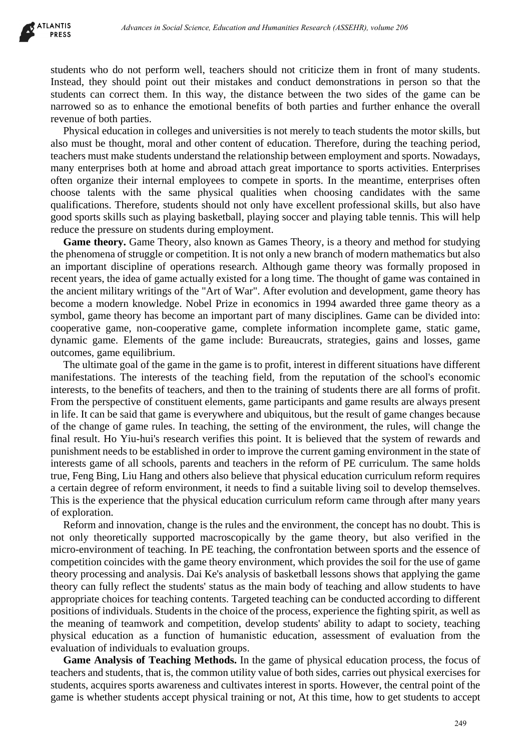students who do not perform well, teachers should not criticize them in front of many students. Instead, they should point out their mistakes and conduct demonstrations in person so that the students can correct them. In this way, the distance between the two sides of the game can be narrowed so as to enhance the emotional benefits of both parties and further enhance the overall revenue of both parties.

Physical education in colleges and universities is not merely to teach students the motor skills, but also must be thought, moral and other content of education. Therefore, during the teaching period, teachers must make students understand the relationship between employment and sports. Nowadays, many enterprises both at home and abroad attach great importance to sports activities. Enterprises often organize their internal employees to compete in sports. In the meantime, enterprises often choose talents with the same physical qualities when choosing candidates with the same qualifications. Therefore, students should not only have excellent professional skills, but also have good sports skills such as playing basketball, playing soccer and playing table tennis. This will help reduce the pressure on students during employment.

**Game theory.** Game Theory, also known as Games Theory, is a theory and method for studying the phenomena of struggle or competition. It is not only a new branch of modern mathematics but also an important discipline of operations research. Although game theory was formally proposed in recent years, the idea of game actually existed for a long time. The thought of game was contained in the ancient military writings of the "Art of War". After evolution and development, game theory has become a modern knowledge. Nobel Prize in economics in 1994 awarded three game theory as a symbol, game theory has become an important part of many disciplines. Game can be divided into: cooperative game, non-cooperative game, complete information incomplete game, static game, dynamic game. Elements of the game include: Bureaucrats, strategies, gains and losses, game outcomes, game equilibrium.

The ultimate goal of the game in the game is to profit, interest in different situations have different manifestations. The interests of the teaching field, from the reputation of the school's economic interests, to the benefits of teachers, and then to the training of students there are all forms of profit. From the perspective of constituent elements, game participants and game results are always present in life. It can be said that game is everywhere and ubiquitous, but the result of game changes because of the change of game rules. In teaching, the setting of the environment, the rules, will change the final result. Ho Yiu-hui's research verifies this point. It is believed that the system of rewards and punishment needs to be established in order to improve the current gaming environment in the state of interests game of all schools, parents and teachers in the reform of PE curriculum. The same holds true, Feng Bing, Liu Hang and others also believe that physical education curriculum reform requires a certain degree of reform environment, it needs to find a suitable living soil to develop themselves. This is the experience that the physical education curriculum reform came through after many years of exploration. *Advances in Social Science, Education in Humanities Research (ASSEHR), where 266*<br>
Dott protocol and their missiles and conduct demonstrations in person of tax<br>
and conduct of the missiles and conduct demonstrations in pe

Reform and innovation, change is the rules and the environment, the concept has no doubt. This is not only theoretically supported macroscopically by the game theory, but also verified in the micro-environment of teaching. In PE teaching, the confrontation between sports and the essence of competition coincides with the game theory environment, which provides the soil for the use of game theory processing and analysis. Dai Ke's analysis of basketball lessons shows that applying the game theory can fully reflect the students' status as the main body of teaching and allow students to have appropriate choices for teaching contents. Targeted teaching can be conducted according to different positions of individuals. Students in the choice of the process, experience the fighting spirit, as well as the meaning of teamwork and competition, develop students' ability to adapt to society, teaching physical education as a function of humanistic education, assessment of evaluation from the evaluation of individuals to evaluation groups.

**Game Analysis of Teaching Methods.** In the game of physical education process, the focus of teachers and students, that is, the common utility value of both sides, carries out physical exercises for students, acquires sports awareness and cultivates interest in sports. However, the central point of the game is whether students accept physical training or not, At this time, how to get students to accept